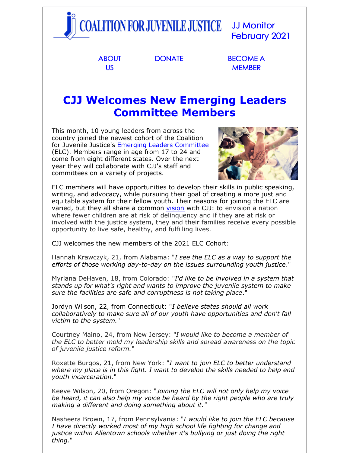

US

**MEMBER** 

## **CJJ Welcomes New Emerging Leaders Committee Members**

This month, 10 young leaders from across the country joined the newest cohort of the Coalition for Juvenile Justice's Emerging Leaders [Committee](http://juvjustice.org/donate/emerging-leaders-committee-support) (ELC). Members range in age from 17 to 24 and come from eight different states. Over the next year they will collaborate with CJJ's staff and committees on a variety of projects.



ELC members will have opportunities to develop their skills in public speaking, writing, and advocacy, while pursuing their goal of creating a more just and equitable system for their fellow youth. Their reasons for joining the ELC are varied, but they all share a common [vision](http://juvjustice.org/about-us/mission) with CJJ: to envision a nation where fewer children are at risk of delinquency and if they are at risk or involved with the justice system, they and their families receive every possible opportunity to live safe, healthy, and fulfilling lives.

CJJ welcomes the new members of the 2021 ELC Cohort:

Hannah Krawczyk, 21, from Alabama: "*I see the ELC as a way to support the efforts of those working day-to-day on the issues surrounding youth justice*."

Myriana DeHaven, 18, from Colorado: "*I'd like to be involved in a system that stands up for what's right and wants to improve the juvenile system to make sure the facilities are safe and corruptness is not taking place*."

Jordyn Wilson, 22, from Connecticut: "*I believe states should all work collaboratively to make sure all of our youth have opportunities and don't fall victim to the system.*"

Courtney Maino, 24, from New Jersey: "*I would like to become a member of the ELC to better mold my leadership skills and spread awareness on the topic of juvenile justice reform.*"

Roxette Burgos, 21, from New York: "*I want to join ELC to better understand where my place is in this fight. I want to develop the skills needed to help end youth incarceration.*"

Keeve Wilson, 20, from Oregon: "*Joining the ELC will not only help my voice be heard, it can also help my voice be heard by the right people who are truly making a different and doing something about it."*

Nasheera Brown, 17, from Pennsylvania: "*I would like to join the ELC because I have directly worked most of my high school life fighting for change and justice within Allentown schools whether it's bullying or just doing the right thing.*"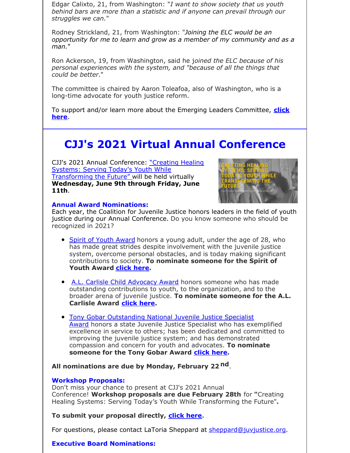Edgar Calixto, 21, from Washington: "*I want to show society that us youth behind bars are more than a statistic and if anyone can prevail through our struggles we can.*"

Rodney Strickland, 21, from Washington: "*Joining the ELC would be an opportunity for me to learn and grow as a member of my community and as a man.*"

Ron Ackerson, 19, from Washington, said he j*oined the ELC because of his personal experiences with the system, and "because of all the things that could be better*."

The committee is chaired by Aaron Toleafoa, also of Washington, who is a long-time advocate for youth justice reform.

To support and/or learn more about the Emerging Leaders [Committee,](http://juvjustice.org/donate/emerging-leaders-committee-support) **click here**.

## **CJJ's 2021 Virtual Annual Conference**

CJJ's 2021 Annual Conference: "Creating Healing Systems: Serving Today's Youth While [Transforming](http://juvjustice.org/events/conferences/2021-cjj-annual-conference) the Future" will be held virtually **Wednesday, June 9th through Friday, June 11th**.



#### **Annual Award Nominations:**

Each year, the Coalition for Juvenile Justice honors leaders in the field of youth justice during our Annual Conference. Do you know someone who should be recognized in 2021?

- Spirit of Youth [Award](https://files.constantcontact.com/31e4a892301/a7452f82-f384-4bee-9e4c-f2208a30d068.pdf) honors a young adult, under the age of 28, who has made great strides despite involvement with the juvenile justice system, overcome personal obstacles, and is today making significant contributions to society. **To nominate someone for the Spirit of Youth Award [click](https://docs.google.com/forms/d/e/1FAIpQLSdp1DsKZtFdSMa47Cn7Vs5HQM9f7e9GzHfdGIZ9ai0UeAAmuA/viewform?usp=sf_link) here.**
- A.L. Carlisle Child [Advocacy](https://files.constantcontact.com/31e4a892301/53f4b47d-237a-4287-b4b2-34ee0f3ddb38.pdf) Award honors someone who has made outstanding contributions to youth, to the organization, and to the broader arena of juvenile justice. **To nominate someone for the A.L. Carlisle Award [click](https://docs.google.com/forms/d/e/1FAIpQLSci5jL-8C5srs4QeOKrWUauPmkY4y3TAx_rI9LD4r4PneI30A/viewform?usp=sf_link) here.**
- Tony Gobar [Outstanding](https://files.constantcontact.com/31e4a892301/052e89b0-784e-4a0e-b64a-69c456cd303b.pdf) National Juvenile Justice Specialist Award honors a state Juvenile Justice Specialist who has exemplified excellence in service to others; has been dedicated and committed to improving the juvenile justice system; and has demonstrated compassion and concern for youth and advocates. **To nominate someone for the Tony Gobar Award [click](https://docs.google.com/forms/d/e/1FAIpQLSfI9uZ_Ak7xITuI_6luFx4BthjiUfWjrDbUJtt4rgUF_vAgng/viewform?usp=sf_link) here.**

**All nominations are due by Monday, February 22 nd**.

#### **Workshop Proposals:**

Don't miss your chance to present at CJJ's 2021 Annual Conference! **Workshop proposals are due February 28th** for **"**Creating Healing Systems: Serving Today's Youth While Transforming the Future"**.**

**To submit your proposal directly, [click](https://docs.google.com/forms/d/e/1FAIpQLSeqAGSvIO8zPXq4qnlZWxSAFZCdEf3kZzqiWFnXsEggjSbNnA/viewform?usp=sf_link) here.**

For questions, please contact LaToria Sheppard at [sheppard@juvjustice.org](mailto:sheppard@juvjustice.org).

### **Executive Board Nominations:**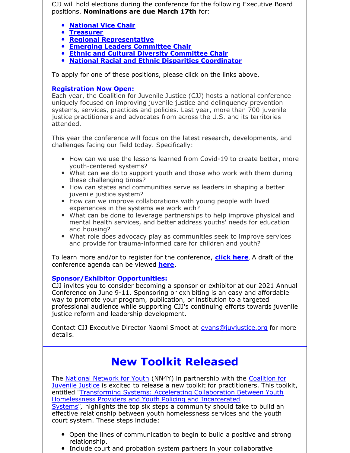CJJ will hold elections during the conference for the following Executive Board positions. **Nominations are due March 17th** for:

- **[National](https://docs.google.com/forms/d/e/1FAIpQLSdUSKgG7hY-Rqn7gTN6SdE3kT5CdIHxCGVaNdaTo17Nh6Wo4Q/viewform?usp=sf_link) Vice Chair**
- **[Treasurer](https://docs.google.com/forms/d/e/1FAIpQLSePSJ7IObd2-rttnMSbB9xi96lWKvpnrVGQZenAxwBfPJDERA/viewform?usp=sf_link)**
- **Regional [Representative](https://docs.google.com/forms/d/e/1FAIpQLSdX-A_D6DWIzhGrZx46RYvmaiEE_hDC0DvNv6IPp0FjDZUG1g/viewform?usp=sf_link)**
- **Emerging Leaders [Committee](https://docs.google.com/forms/d/e/1FAIpQLSc7bo-orSPdKnXgcBpMCuIscPgtu1Xc9BRzJ-8I5Vl_TZm0gg/viewform?usp=sf_link) Chair**
- **Ethnic and Cultural Diversity [Committee](https://docs.google.com/forms/d/e/1FAIpQLSda9Bzg2xuXGEdHsSc-LkOEgINoMWShpU39y5QfDEFPyxONGw/viewform?usp=sf_link) Chair**
- **National Racial and Ethnic Disparities [Coordinator](https://docs.google.com/forms/d/e/1FAIpQLSfSdSR-hdFG2iHx08JCjPycErJXbnYVHmBiYYiP4oNdGeqJ3Q/viewform?usp=sf_link)**

To apply for one of these positions, please click on the links above.

### **Registration Now Open:**

Each year, the Coalition for Juvenile Justice (CJJ) hosts a national conference uniquely focused on improving juvenile justice and delinquency prevention systems, services, practices and policies. Last year, more than 700 juvenile justice practitioners and advocates from across the U.S. and its territories attended.

This year the conference will focus on the latest research, developments, and challenges facing our field today. Specifically:

- How can we use the lessons learned from Covid-19 to create better, more youth-centered systems?
- What can we do to support youth and those who work with them during these challenging times?
- How can states and communities serve as leaders in shaping a better juvenile justice system?
- How can we improve collaborations with young people with lived experiences in the systems we work with?
- What can be done to leverage partnerships to help improve physical and mental health services, and better address youths' needs for education and housing?
- What role does advocacy play as communities seek to improve services and provide for trauma-informed care for children and youth?

To learn more and/or to register for the conference, **[click](https://www.juvjustice.org/civicrm/event/register?cid=0&reset=1&id=69) here**. A draft of the conference agenda can be viewed **[here](https://www.juvjustice.org/sites/default/files/resource-files/2021 Conference Agenda Draft 1.pdf)**.

### **Sponsor/Exhibitor Opportunities:**

CJJ invites you to consider becoming a sponsor or exhibitor at our 2021 Annual Conference on June 9-11. Sponsoring or exhibiting is an easy and affordable way to promote your program, publication, or institution to a targeted professional audience while supporting CJJ's continuing efforts towards juvenile justice reform and leadership development.

Contact CJJ Executive Director Naomi Smoot at [evans@juvjustice.org](mailto:evans@juvjustice.org) for more details.

## **New Toolkit Released**

The National [Network](https://nn4youth.org/) for Youth (NN4Y) in partnership with the Coalition for Juvenile Justice is excited to release a new toolkit for [practitioners.](http://juvjustice.org/) This toolkit, entitled ["Transforming](https://nn4youth.org/wp-content/uploads/NN4Y-CJJ-Transforming-Systems-to-Accelerate-Collaboration.pdf) Systems: Accelerating Collaboration Between Youth Homelessness Providers and Youth Policing and Incarcerated Systems"*,* highlights the top six steps a community should take to build an effective relationship between youth homelessness services and the youth court system. These steps include:

- Open the lines of communication to begin to build a positive and strong relationship.
- Include court and probation system partners in your collaborative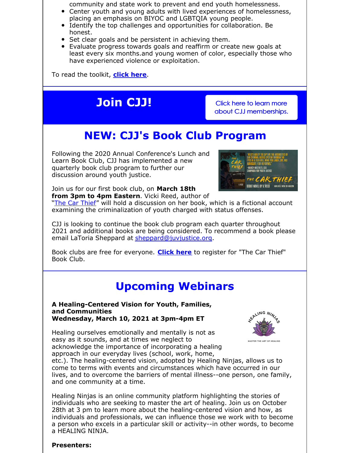community and state work to prevent and end youth homelessness.

- Center youth and young adults with lived experiences of homelessness, placing an emphasis on BIYOC and LGBTQIA young people.
- Identify the top challenges and opportunities for collaboration. Be honest.
- **Set clear goals and be persistent in achieving them.**
- Evaluate progress towards goals and reaffirm or create new goals at least every six months.and young women of color, especially those who have experienced violence or exploitation.

To read the toolkit, **[click](https://nn4youth.org/wp-content/uploads/NN4Y-CJJ-Transforming-Systems-to-Accelerate-Collaboration.pdf) here**.

# **Join CJJ!** Click here to learn more

about CJJ [memberships.](http://juvjustice.org/about-us/members)

# **NEW: CJJ's Book Club Program**

Following the 2020 Annual Conference's Lunch and Learn Book Club, CJJ has implemented a new quarterly book club program to further our discussion around youth justice.



Join us for our first book club, on **March 18th from 3pm to 4pm Eastern**. Vicki Reed, author of

"The Car [Thief](https://www.google.com/books/edition/The_Car_Thief/lZqYDQAAQBAJ?hl=en&gbpv=1&printsec=frontcover)" will hold a discussion on her book, which is a fictional account examining the criminalization of youth charged with status offenses.

CJJ is looking to continue the book club program each quarter throughout 2021 and additional books are being considered. To recommend a book please email LaToria Sheppard at [sheppard@juvjustice.org](mailto:sheppard@juvjustice.org).

Book clubs are free for everyone. **[Click](https://attendee.gotowebinar.com/register/4036645147941516299) here** to register for "The Car Thief" Book Club.

# **Upcoming Webinars**

**A Healing-Centered Vision for Youth, Families, and Communities Wednesday, March 10, 2021 at 3pm-4pm ET**



Healing ourselves emotionally and mentally is not as easy as it sounds, and at times we neglect to acknowledge the importance of incorporating a healing approach in our everyday lives (school, work, home,

etc.). The healing-centered vision, adopted by Healing Ninjas, allows us to come to terms with events and circumstances which have occurred in our lives, and to overcome the barriers of mental illness--one person, one family, and one community at a time.

Healing Ninjas is an online community platform highlighting the stories of individuals who are seeking to master the art of healing. Join us on October 28th at 3 pm to learn more about the healing-centered vision and how, as individuals and professionals, we can influence those we work with to become a person who excels in a particular skill or activity--in other words, to become a HEALING NINJA.

### **Presenters:**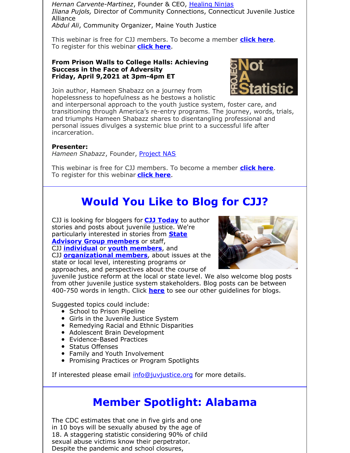*Hernan Carvente-Martinez*, Founder & CEO, [Healing](https://www.healingninjas.org/) Ninjas *Iliana Pujols,* Director of Community Connections, Connecticut Juvenile Justice Alliance

*Abdul Ali*, Community Organizer, Maine Youth Justice

This webinar is free for CJJ members. To become a member **[click](http://www.juvjustice.org/civicrm/contribute/transact?reset=1&id=2) here**. To register for this webinar **[click](https://attendee.gotowebinar.com/register/6046871261264893198) here**.

#### **From Prison Walls to College Halls: Achieving Success in the Face of Adversity Friday, April 9,2021 at 3pm-4pm ET**



Join author, Hameen Shabazz on a journey from hopelessness to hopefulness as he bestows a holistic

and interpersonal approach to the youth justice system, foster care, and transitioning through America's re-entry programs. The journey, words, trials, and triumphs Hameen Shabazz shares to disentangling professional and personal issues divulges a systemic blue print to a successful life after incarceration.

### **Presenter:**

*Hameen Shabazz*, Founder, [Project](https://dare2live.life/) NAS

This webinar is free for CJJ members. To become a member **[click](http://www.juvjustice.org/civicrm/contribute/transact?reset=1&id=2) here**. To register for this webinar **[click](https://attendee.gotowebinar.com/register/6171551482231338511) here**.

# **Would You Like to Blog for CJJ?**

CJJ is looking for bloggers for **CJJ [Today](http://www.juvjustice.org/blog)** to author stories and posts about juvenile justice. We're [particularly](http://www.juvjustice.org/about-us/state-advisory-group-members) interested in stories from **State Advisory Group members** or staff, CJJ **[individual](http://juvjustice.org/about-us/members/individual-memberships)** or **youth [members](http://juvjustice.org/youth-members)**, and

CJJ **[organizational](http://www.juvjustice.org/about-us/members/organizational-memberships) members**, about issues at the state or local level, interesting programs or approaches, and perspectives about the course of



juvenile justice reform at the local or state level. We also welcome blog posts from other juvenile justice system stakeholders. Blog posts can be between 400-750 words in length. Click **[here](http://files.constantcontact.com/31e4a892301/ae2fa24f-a0c7-4002-a04b-2d9a65ad104a.pdf)** to see our other guidelines for blogs.

Suggested topics could include:

- School to Prison Pipeline
- Girls in the Juvenile Justice System
- Remedying Racial and Ethnic Disparities
- Adolescent Brain Development
- Evidence-Based Practices
- Status Offenses
- Family and Youth Involvement
- Promising Practices or Program Spotlights

If interested please email [info@juvjustice.org](mailto:info@juvjustice.org) for more details.

## **Member Spotlight: Alabama**

The CDC estimates that one in five girls and one in 10 boys will be sexually abused by the age of 18. A staggering statistic considering 90% of child sexual abuse victims know their perpetrator. Despite the pandemic and school closures,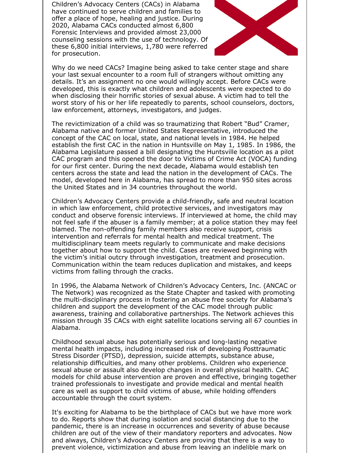Children's Advocacy Centers (CACs) in Alabama have continued to serve children and families to offer a place of hope, healing and justice. During 2020, Alabama CACs conducted almost 6,800 Forensic Interviews and provided almost 23,000 counseling sessions with the use of technology. Of these 6,800 initial interviews, 1,780 were referred for prosecution.



Why do we need CACs? Imagine being asked to take center stage and share your last sexual encounter to a room full of strangers without omitting any details. It's an assignment no one would willingly accept. Before CACs were developed, this is exactly what children and adolescents were expected to do when disclosing their horrific stories of sexual abuse. A victim had to tell the worst story of his or her life repeatedly to parents, school counselors, doctors, law enforcement, attorneys, investigators, and judges.

The revictimization of a child was so traumatizing that Robert "Bud" Cramer, Alabama native and former United States Representative, introduced the concept of the CAC on local, state, and national levels in 1984. He helped establish the first CAC in the nation in Huntsville on May 1, 1985. In 1986, the Alabama Legislature passed a bill designating the Huntsville location as a pilot CAC program and this opened the door to Victims of Crime Act (VOCA) funding for our first center. During the next decade, Alabama would establish ten centers across the state and lead the nation in the development of CACs. The model, developed here in Alabama, has spread to more than 950 sites across the United States and in 34 countries throughout the world.

Children's Advocacy Centers provide a child-friendly, safe and neutral location in which law enforcement, child protective services, and investigators may conduct and observe forensic interviews. If interviewed at home, the child may not feel safe if the abuser is a family member; at a police station they may feel blamed. The non-offending family members also receive support, crisis intervention and referrals for mental health and medical treatment. The multidisciplinary team meets regularly to communicate and make decisions together about how to support the child. Cases are reviewed beginning with the victim's initial outcry through investigation, treatment and prosecution. Communication within the team reduces duplication and mistakes, and keeps victims from falling through the cracks.

In 1996, the Alabama Network of Children's Advocacy Centers, Inc. (ANCAC or The Network) was recognized as the State Chapter and tasked with promoting the multi-disciplinary process in fostering an abuse free society for Alabama's children and support the development of the CAC model through public awareness, training and collaborative partnerships. The Network achieves this mission through 35 CACs with eight satellite locations serving all 67 counties in Alabama.

Childhood sexual abuse has potentially serious and long-lasting negative mental health impacts, including increased risk of developing Posttraumatic Stress Disorder (PTSD), depression, suicide attempts, substance abuse, relationship difficulties, and many other problems. Children who experience sexual abuse or assault also develop changes in overall physical health. CAC models for child abuse intervention are proven and effective, bringing together trained professionals to investigate and provide medical and mental health care as well as support to child victims of abuse, while holding offenders accountable through the court system.

It's exciting for Alabama to be the birthplace of CACs but we have more work to do. Reports show that during isolation and social distancing due to the pandemic, there is an increase in occurrences and severity of abuse because children are out of the view of their mandatory reporters and advocates. Now and always, Children's Advocacy Centers are proving that there is a way to prevent violence, victimization and abuse from leaving an indelible mark on